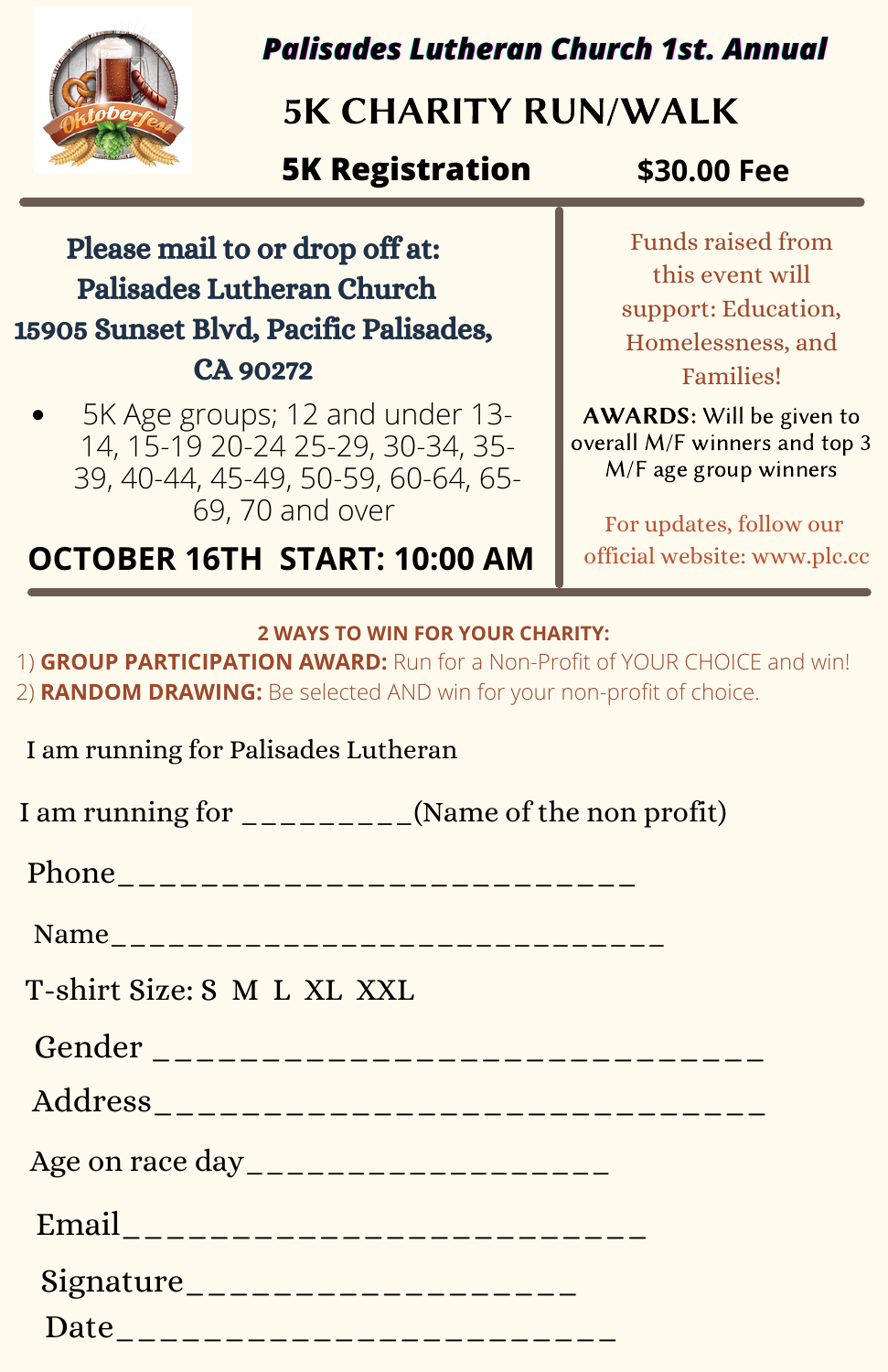

## *Palisades Lutheran Church 1st. Annual*

# 5K CHARITY RUN/WALK

### **5K Registration \$30.00 Fee**

### Please mail to or drop off at: Palisades Lutheran Church 15905 Sunset Blvd, Pacific Palisades, CA 90272

5K Age groups; 12 and under 13- 14, 15-19 20-24 25-29, 30-34, 35- 39, 40-44, 45-49, 50-59, 60-64, 65- 69, 70 and over

**OCTOBER 16TH START: 10:00 AM**

Funds raised from this event will support: Education, Homelessness, and Families!

AWARDS: Will be given to overall M/F winners and top 3 M/F age group winners

For updates, follow our official website: www.plc.cc

### **2 WAYS TO WIN FOR YOUR CHARITY:**

1) **GROUP PARTICIPATION AWARD:** Run for a Non-Profit of YOUR CHOICE and win! 2) **RANDOM DRAWING:** Be selected AND win for your non-profit of choice.

I am running for Palisades Lutheran

| I am running for _________(Name of the non profit) |                                          |
|----------------------------------------------------|------------------------------------------|
|                                                    |                                          |
| Name__________________________________             |                                          |
| T-shirt Size: S M L XL XXL                         |                                          |
|                                                    | Gender _________________________________ |
|                                                    |                                          |
| Age on race day____________________                |                                          |
| Email___________________________                   |                                          |
| Signature____________________                      |                                          |
| Date____________________________                   |                                          |